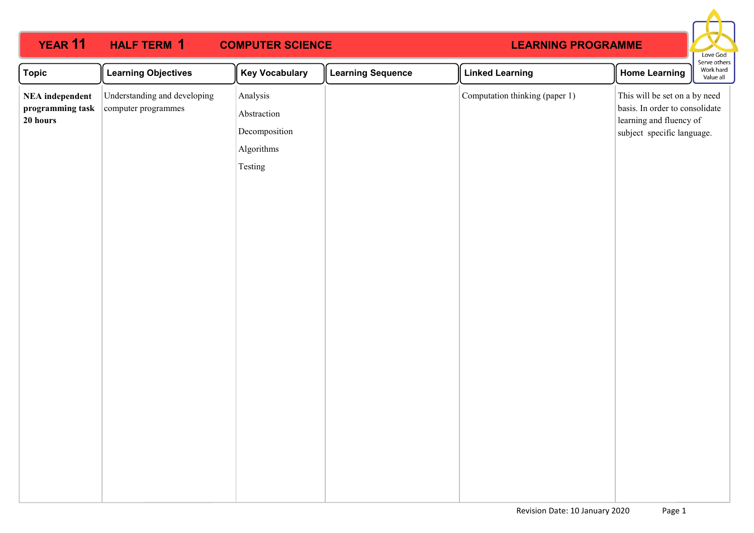### **YEAR 11 HALF TERM COMPUTER SCIENCE HALF TERM 1**

# **LEARNING PROGRAMME**



| Understanding and developing<br>Analysis<br>Computation thinking (paper 1)<br><b>NEA</b> independent<br>programming task<br>computer programmes |                                                                                                                          |  |
|-------------------------------------------------------------------------------------------------------------------------------------------------|--------------------------------------------------------------------------------------------------------------------------|--|
| Abstraction<br>20 hours<br>Decomposition<br>Algorithms<br>Testing                                                                               | This will be set on a by need<br>basis. In order to consolidate<br>learning and fluency of<br>subject specific language. |  |
|                                                                                                                                                 |                                                                                                                          |  |
|                                                                                                                                                 |                                                                                                                          |  |
|                                                                                                                                                 |                                                                                                                          |  |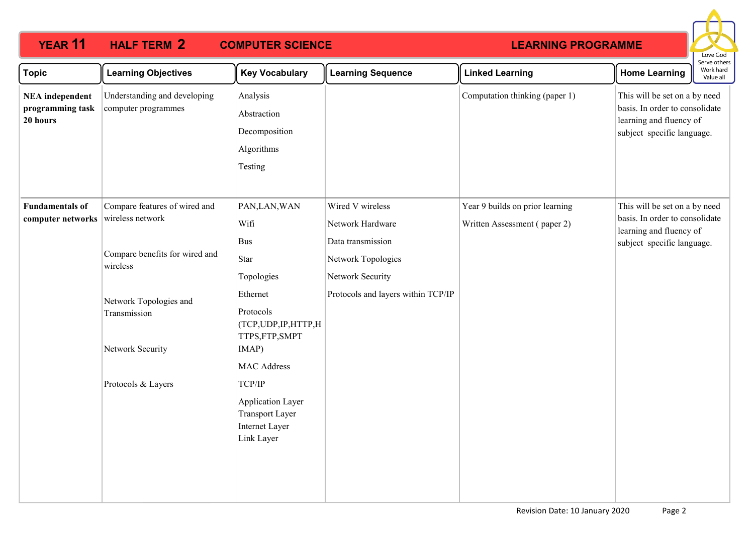### **YEAR 11 HALF TERM 2 COMPUTER SCIENCE HALF TERM 2**

# **LEARNING PROGRAMME**



| <b>Topic</b>                                           | <b>Learning Objectives</b>                                                                                                                                                          | <b>Key Vocabulary</b>                                                                                                                                                                                                                                 | <b>Learning Sequence</b>                                                                                                                  | <b>Linked Learning</b>                                          | <b>Home Learning</b>                                                                                                     | Serve others<br>Work hard<br>Value all |
|--------------------------------------------------------|-------------------------------------------------------------------------------------------------------------------------------------------------------------------------------------|-------------------------------------------------------------------------------------------------------------------------------------------------------------------------------------------------------------------------------------------------------|-------------------------------------------------------------------------------------------------------------------------------------------|-----------------------------------------------------------------|--------------------------------------------------------------------------------------------------------------------------|----------------------------------------|
| <b>NEA</b> independent<br>programming task<br>20 hours | Understanding and developing<br>computer programmes                                                                                                                                 | Analysis<br>Abstraction<br>Decomposition<br>Algorithms<br>Testing                                                                                                                                                                                     |                                                                                                                                           | Computation thinking (paper 1)                                  | This will be set on a by need<br>basis. In order to consolidate<br>learning and fluency of<br>subject specific language. |                                        |
| <b>Fundamentals of</b><br>computer networks            | Compare features of wired and<br>wireless network<br>Compare benefits for wired and<br>wireless<br>Network Topologies and<br>Transmission<br>Network Security<br>Protocols & Layers | PAN, LAN, WAN<br>Wifi<br><b>Bus</b><br>Star<br>Topologies<br>Ethernet<br>Protocols<br>(TCP, UDP, IP, HTTP, H<br>TTPS,FTP,SMPT<br>IMAP)<br><b>MAC Address</b><br>TCP/IP<br>Application Layer<br><b>Transport Layer</b><br>Internet Layer<br>Link Layer | Wired V wireless<br>Network Hardware<br>Data transmission<br>Network Topologies<br>Network Security<br>Protocols and layers within TCP/IP | Year 9 builds on prior learning<br>Written Assessment (paper 2) | This will be set on a by need<br>basis. In order to consolidate<br>learning and fluency of<br>subject specific language. |                                        |